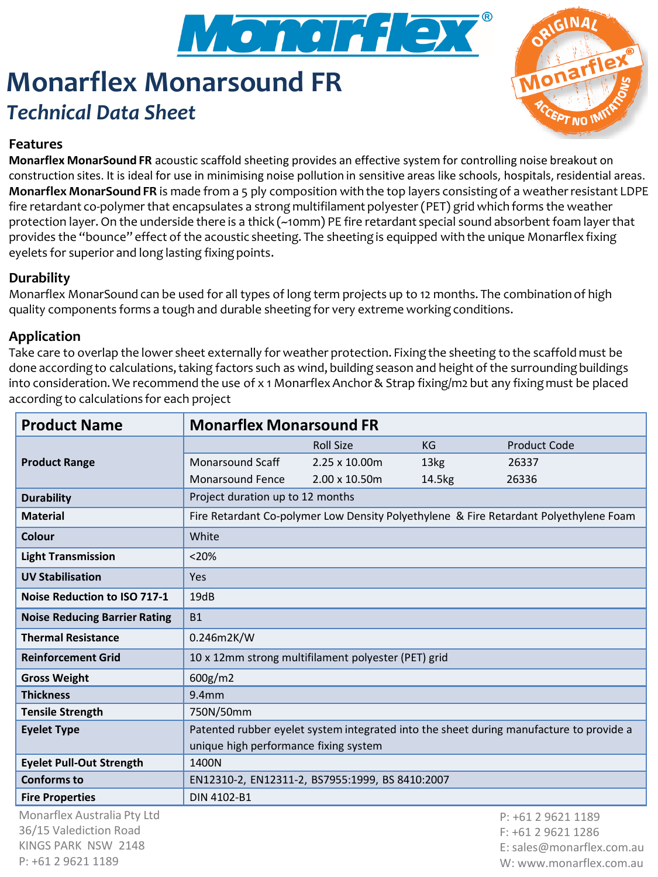

# **Monarflex Monarsound FR** *Technical Data Sheet*



#### **Features**

**Monarflex MonarSound FR** acoustic scaffold sheeting provides an effective system for controlling noise breakout on construction sites. It is ideal for use in minimising noise pollution in sensitive areas like schools, hospitals, residential areas. **Monarflex MonarSound FR** is made from a 5 ply composition with the top layers consisting of a weather resistant LDPE fire retardant co-polymer that encapsulates a strong multifilament polyester (PET) grid which forms the weather protection layer. On the underside there is a thick (~10mm) PE fire retardant special sound absorbent foam layer that provides the "bounce" effect of the acoustic sheeting. The sheeting is equipped with the unique Monarflex fixing eyelets for superior and long lasting fixing points.

#### **Durability**

Monarflex MonarSound can be used for all types of long term projects up to 12 months. The combination of high quality components forms a tough and durable sheeting for very extreme working conditions.

#### **Application**

Take care to overlap the lower sheet externally for weather protection. Fixing the sheeting to the scaffold must be done according to calculations, taking factors such as wind, building season and height of the surrounding buildings into consideration. We recommend the use of x 1 Monarflex Anchor & Strap fixing/m2 but any fixing must be placed according to calculations for each project

| <b>Product Name</b>                  | <b>Monarflex Monarsound FR</b>                                                          |                  |                  |                     |
|--------------------------------------|-----------------------------------------------------------------------------------------|------------------|------------------|---------------------|
| <b>Product Range</b>                 |                                                                                         | <b>Roll Size</b> | KG               | <b>Product Code</b> |
|                                      | <b>Monarsound Scaff</b>                                                                 | 2.25 x 10.00m    | 13 <sub>kg</sub> | 26337               |
|                                      | <b>Monarsound Fence</b>                                                                 | 2.00 x 10.50m    | 14.5kg           | 26336               |
| <b>Durability</b>                    | Project duration up to 12 months                                                        |                  |                  |                     |
| <b>Material</b>                      | Fire Retardant Co-polymer Low Density Polyethylene & Fire Retardant Polyethylene Foam   |                  |                  |                     |
| Colour                               | White                                                                                   |                  |                  |                     |
| <b>Light Transmission</b>            | < 20%                                                                                   |                  |                  |                     |
| <b>UV Stabilisation</b>              | Yes                                                                                     |                  |                  |                     |
| <b>Noise Reduction to ISO 717-1</b>  | 19dB                                                                                    |                  |                  |                     |
| <b>Noise Reducing Barrier Rating</b> | <b>B1</b>                                                                               |                  |                  |                     |
| <b>Thermal Resistance</b>            | 0.246m2K/W                                                                              |                  |                  |                     |
| <b>Reinforcement Grid</b>            | 10 x 12mm strong multifilament polyester (PET) grid                                     |                  |                  |                     |
| <b>Gross Weight</b>                  | 600g/m2                                                                                 |                  |                  |                     |
| <b>Thickness</b>                     | $9.4$ mm                                                                                |                  |                  |                     |
| <b>Tensile Strength</b>              | 750N/50mm                                                                               |                  |                  |                     |
| <b>Eyelet Type</b>                   | Patented rubber eyelet system integrated into the sheet during manufacture to provide a |                  |                  |                     |
|                                      | unique high performance fixing system                                                   |                  |                  |                     |
| <b>Eyelet Pull-Out Strength</b>      | 1400N                                                                                   |                  |                  |                     |
| <b>Conforms to</b>                   | EN12310-2, EN12311-2, BS7955:1999, BS 8410:2007                                         |                  |                  |                     |
| <b>Fire Properties</b>               | DIN 4102-B1                                                                             |                  |                  |                     |
| Monarflex Australia Pty Ltd          |                                                                                         |                  |                  | $P: +61296211189$   |
| 36/15 Valediction Road               |                                                                                         |                  |                  | $F: +61296211286$   |

KINGS PARK NSW 2148 P: +61 2 9621 1189

F: +61 2 9621 1286 E: sales@monarflex.com.au W: www.monarflex.com.au